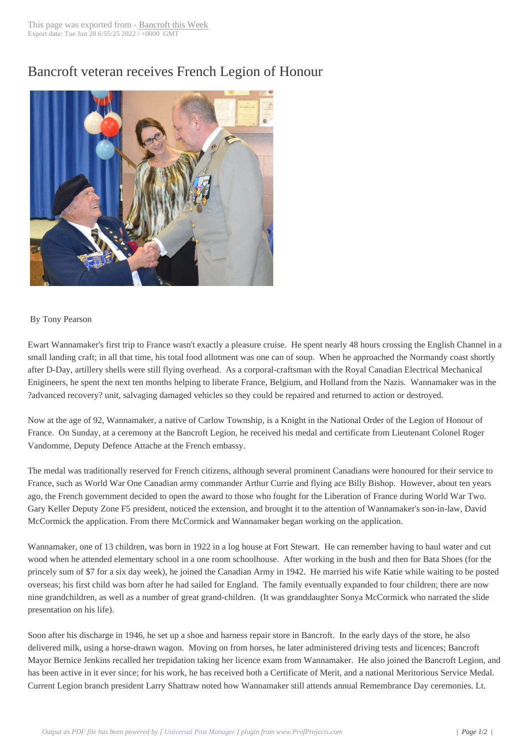## Bancroft veteran re[ceives Frenc](http://www.bancroftthisweek.com/?p=4196)h Legion of Honour



## By Tony Pearson

Ewart Wannamaker's first trip to France wasn't exactly a pleasure cruise. He spent nearly 48 hours crossing the English Channel in a small landing craft; in all that time, his total food allotment was one can of soup. When he approached the Normandy coast shortly after D-Day, artillery shells were still flying overhead. As a corporal-craftsman with the Royal Canadian Electrical Mechanical Enigineers, he spent the next ten months helping to liberate France, Belgium, and Holland from the Nazis. Wannamaker was in the ?advanced recovery? unit, salvaging damaged vehicles so they could be repaired and returned to action or destroyed.

Now at the age of 92, Wannamaker, a native of Carlow Township, is a Knight in the National Order of the Legion of Honour of France. On Sunday, at a ceremony at the Bancroft Legion, he received his medal and certificate from Lieutenant Colonel Roger Vandomme, Deputy Defence Attache at the French embassy.

The medal was traditionally reserved for French citizens, although several prominent Canadians were honoured for their service to France, such as World War One Canadian army commander Arthur Currie and flying ace Billy Bishop. However, about ten years ago, the French government decided to open the award to those who fought for the Liberation of France during World War Two. Gary Keller Deputy Zone F5 president, noticed the extension, and brought it to the attention of Wannamaker's son-in-law, David McCormick the application. From there McCormick and Wannamaker began working on the application.

Wannamaker, one of 13 children, was born in 1922 in a log house at Fort Stewart. He can remember having to haul water and cut wood when he attended elementary school in a one room schoolhouse. After working in the bush and then for Bata Shoes (for the princely sum of \$7 for a six day week), he joined the Canadian Army in 1942. He married his wife Katie while waiting to be posted overseas; his first child was born after he had sailed for England. The family eventually expanded to four children; there are now nine grandchildren, as well as a number of great grand-children. (It was granddaughter Sonya McCormick who narrated the slide presentation on his life).

Soon after his discharge in 1946, he set up a shoe and harness repair store in Bancroft. In the early days of the store, he also delivered milk, using a horse-drawn wagon. Moving on from horses, he later administered driving tests and licences; Bancroft Mayor Bernice Jenkins recalled her trepidation taking her licence exam from Wannamaker. He also joined the Bancroft Legion, and has been active in it ever since; for his work, he has received both a Certificate of Merit, and a national Meritorious Service Medal. Current Legion branch president Larry Shattraw noted how Wannamaker still attends annual Remembrance Day ceremonies. Lt.